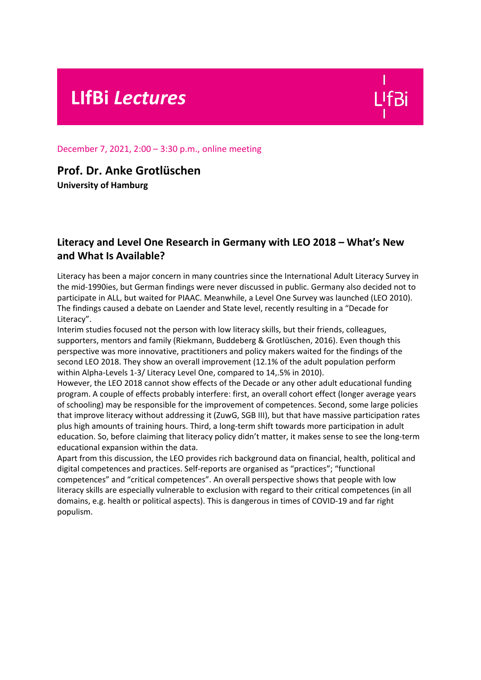# **LIfBi** *Lectures*

December 7, 2021, 2:00 – 3:30 p.m., online meeting

## **Prof. Dr. Anke Grotlüschen**

**University of Hamburg**

## **Literacy and Level One Research in Germany with LEO 2018 – What's New and What Is Available?**

Literacy has been a major concern in many countries since the International Adult Literacy Survey in the mid-1990ies, but German findings were never discussed in public. Germany also decided not to participate in ALL, but waited for PIAAC. Meanwhile, a Level One Survey was launched (LEO 2010). The findings caused a debate on Laender and State level, recently resulting in a "Decade for Literacy".

Interim studies focused not the person with low literacy skills, but their friends, colleagues, supporters, mentors and family (Riekmann, Buddeberg & Grotlüschen, 2016). Even though this perspective was more innovative, practitioners and policy makers waited for the findings of the second LEO 2018. They show an overall improvement (12.1% of the adult population perform within Alpha-Levels 1-3/ Literacy Level One, compared to 14,.5% in 2010).

However, the LEO 2018 cannot show effects of the Decade or any other adult educational funding program. A couple of effects probably interfere: first, an overall cohort effect (longer average years of schooling) may be responsible for the improvement of competences. Second, some large policies that improve literacy without addressing it (ZuwG, SGB III), but that have massive participation rates plus high amounts of training hours. Third, a long-term shift towards more participation in adult education. So, before claiming that literacy policy didn't matter, it makes sense to see the long-term educational expansion within the data.

Apart from this discussion, the LEO provides rich background data on financial, health, political and digital competences and practices. Self-reports are organised as "practices"; "functional competences" and "critical competences". An overall perspective shows that people with low literacy skills are especially vulnerable to exclusion with regard to their critical competences (in all domains, e.g. health or political aspects). This is dangerous in times of COVID-19 and far right populism.